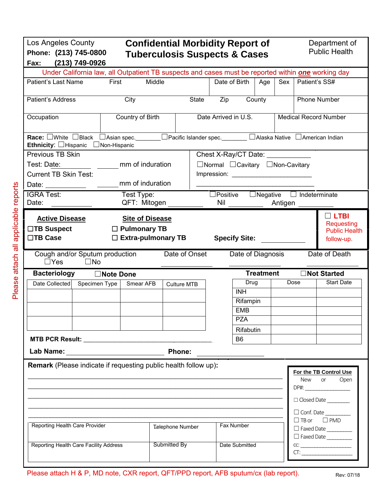| Los Angeles County<br>Phone: (213) 745-0800<br>(213) 749-0926<br>Fax:                                                                                                                                                                                                                             |               | <b>Confidential Morbidity Report of</b><br><b>Tuberculosis Suspects &amp; Cases</b>       |                         |                                                   |                 |                                |                  |         |                                      | Department of<br><b>Public Health</b>                                                                                                                                                                                                                                                                                                                                                                                                                                                   |
|---------------------------------------------------------------------------------------------------------------------------------------------------------------------------------------------------------------------------------------------------------------------------------------------------|---------------|-------------------------------------------------------------------------------------------|-------------------------|---------------------------------------------------|-----------------|--------------------------------|------------------|---------|--------------------------------------|-----------------------------------------------------------------------------------------------------------------------------------------------------------------------------------------------------------------------------------------------------------------------------------------------------------------------------------------------------------------------------------------------------------------------------------------------------------------------------------------|
| Under California law, all Outpatient TB suspects and cases must be reported within <b>one</b> working day                                                                                                                                                                                         |               |                                                                                           |                         |                                                   |                 |                                |                  |         |                                      |                                                                                                                                                                                                                                                                                                                                                                                                                                                                                         |
| Patient's Last Name                                                                                                                                                                                                                                                                               | First         | Middle                                                                                    |                         |                                                   | Date of Birth   |                                | Age              | Sex     | Patient's SS#                        |                                                                                                                                                                                                                                                                                                                                                                                                                                                                                         |
| Patient's Address                                                                                                                                                                                                                                                                                 |               | City                                                                                      |                         | State                                             | Zip             | County                         |                  |         |                                      | <b>Phone Number</b>                                                                                                                                                                                                                                                                                                                                                                                                                                                                     |
| Occupation                                                                                                                                                                                                                                                                                        |               | Country of Birth                                                                          |                         |                                                   |                 | Date Arrived in U.S.           |                  |         |                                      | <b>Medical Record Number</b>                                                                                                                                                                                                                                                                                                                                                                                                                                                            |
| Race: □White □Black<br>Ethnicity: Hispanic Non-Hispanic                                                                                                                                                                                                                                           |               | □ Asian spec. ________□ Pacific Islander spec. ________ □ Alaska Native □ American Indian |                         |                                                   |                 |                                |                  |         |                                      |                                                                                                                                                                                                                                                                                                                                                                                                                                                                                         |
| Previous TB Skin                                                                                                                                                                                                                                                                                  |               |                                                                                           |                         |                                                   |                 | Chest X-Ray/CT Date: \\square\ |                  |         |                                      |                                                                                                                                                                                                                                                                                                                                                                                                                                                                                         |
| mm of induration<br>Test: Date:                                                                                                                                                                                                                                                                   |               |                                                                                           |                         | $\Box$ Normal $\Box$ Cavitary $\Box$ Non-Cavitary |                 |                                |                  |         |                                      |                                                                                                                                                                                                                                                                                                                                                                                                                                                                                         |
| <b>Current TB Skin Test:</b>                                                                                                                                                                                                                                                                      |               |                                                                                           |                         |                                                   |                 |                                |                  |         |                                      |                                                                                                                                                                                                                                                                                                                                                                                                                                                                                         |
| Date: the contract of the contract of the contract of the contract of the contract of the contract of the contract of the contract of the contract of the contract of the contract of the contract of the contract of the cont                                                                    |               | mm of induration                                                                          |                         |                                                   |                 |                                |                  |         |                                      |                                                                                                                                                                                                                                                                                                                                                                                                                                                                                         |
| <b>IGRA Test:</b>                                                                                                                                                                                                                                                                                 |               | Test Type:                                                                                |                         |                                                   | $\Box$ Positive |                                |                  |         | $\Box$ Negative $\Box$ Indeterminate |                                                                                                                                                                                                                                                                                                                                                                                                                                                                                         |
| Date:                                                                                                                                                                                                                                                                                             |               | QFT: Mitogen                                                                              |                         |                                                   | Nil             |                                |                  | Antigen |                                      |                                                                                                                                                                                                                                                                                                                                                                                                                                                                                         |
| <b>Active Disease</b><br>$\Box$ TB Suspect<br>□TB Case                                                                                                                                                                                                                                            |               | <b>Site of Disease</b><br>$\Box$ Pulmonary TB<br>$\Box$ Extra-pulmonary TB                |                         |                                                   |                 | <b>Specify Site:</b>           |                  |         |                                      | $\Box$ LTBI<br>Requesting<br><b>Public Health</b><br>follow-up.                                                                                                                                                                                                                                                                                                                                                                                                                         |
| Cough and/or Sputum production<br>$\Box$ Yes<br>$\square$ No                                                                                                                                                                                                                                      |               |                                                                                           |                         | Date of Onset                                     |                 | Date of Diagnosis              |                  |         |                                      | Date of Death                                                                                                                                                                                                                                                                                                                                                                                                                                                                           |
| <b>Bacteriology</b><br>□Note Done                                                                                                                                                                                                                                                                 |               |                                                                                           |                         |                                                   |                 |                                |                  |         |                                      |                                                                                                                                                                                                                                                                                                                                                                                                                                                                                         |
|                                                                                                                                                                                                                                                                                                   |               |                                                                                           |                         |                                                   |                 |                                | <b>Treatment</b> |         |                                      | □Not Started                                                                                                                                                                                                                                                                                                                                                                                                                                                                            |
| Date Collected                                                                                                                                                                                                                                                                                    | Specimen Type | Smear AFB                                                                                 | Culture MTB             |                                                   |                 | Drug                           |                  | Dose    |                                      | <b>Start Date</b>                                                                                                                                                                                                                                                                                                                                                                                                                                                                       |
|                                                                                                                                                                                                                                                                                                   |               |                                                                                           |                         |                                                   |                 | <b>INH</b>                     |                  |         |                                      |                                                                                                                                                                                                                                                                                                                                                                                                                                                                                         |
|                                                                                                                                                                                                                                                                                                   |               |                                                                                           |                         |                                                   |                 | Rifampin                       |                  |         |                                      |                                                                                                                                                                                                                                                                                                                                                                                                                                                                                         |
|                                                                                                                                                                                                                                                                                                   |               |                                                                                           |                         |                                                   |                 | <b>EMB</b>                     |                  |         |                                      |                                                                                                                                                                                                                                                                                                                                                                                                                                                                                         |
|                                                                                                                                                                                                                                                                                                   |               |                                                                                           |                         |                                                   |                 | <b>PZA</b>                     |                  |         |                                      |                                                                                                                                                                                                                                                                                                                                                                                                                                                                                         |
|                                                                                                                                                                                                                                                                                                   |               |                                                                                           |                         |                                                   |                 | Rifabutin                      |                  |         |                                      |                                                                                                                                                                                                                                                                                                                                                                                                                                                                                         |
|                                                                                                                                                                                                                                                                                                   |               |                                                                                           |                         |                                                   |                 | B <sub>6</sub>                 |                  |         |                                      |                                                                                                                                                                                                                                                                                                                                                                                                                                                                                         |
|                                                                                                                                                                                                                                                                                                   |               |                                                                                           |                         |                                                   |                 |                                |                  |         |                                      |                                                                                                                                                                                                                                                                                                                                                                                                                                                                                         |
| Lab Name: the control of the control of the control of the control of the control of the control of the control of the control of the control of the control of the control of the control of the control of the control of th<br>Remark (Please indicate if requesting public health follow up): |               |                                                                                           | Phone:                  |                                                   |                 |                                |                  |         |                                      |                                                                                                                                                                                                                                                                                                                                                                                                                                                                                         |
|                                                                                                                                                                                                                                                                                                   |               |                                                                                           |                         |                                                   |                 |                                |                  |         | New                                  | For the TB Control Use<br>or                                                                                                                                                                                                                                                                                                                                                                                                                                                            |
|                                                                                                                                                                                                                                                                                                   |               |                                                                                           |                         |                                                   |                 |                                |                  |         |                                      | Open                                                                                                                                                                                                                                                                                                                                                                                                                                                                                    |
|                                                                                                                                                                                                                                                                                                   |               |                                                                                           |                         |                                                   |                 |                                |                  |         |                                      | $DPH: \begin{tabular}{@{}c@{}} \hline \multicolumn{3}{c}{} & \multicolumn{3}{c}{} & \multicolumn{3}{c}{} \\ \multicolumn{3}{c}{} & \multicolumn{3}{c}{} & \multicolumn{3}{c}{} \\ \multicolumn{3}{c}{} & \multicolumn{3}{c}{} & \multicolumn{3}{c}{} \\ \multicolumn{3}{c}{} & \multicolumn{3}{c}{} & \multicolumn{3}{c}{} \\ \multicolumn{3}{c}{} & \multicolumn{3}{c}{} & \multicolumn{3}{c}{} \\ \multicolumn{3}{c}{} & \multicolumn{3}{c}{} & \multicolumn{3}{c}{} \\ \multicolumn$ |
|                                                                                                                                                                                                                                                                                                   |               |                                                                                           |                         |                                                   |                 |                                |                  |         |                                      | Ocosed Date                                                                                                                                                                                                                                                                                                                                                                                                                                                                             |
|                                                                                                                                                                                                                                                                                                   |               |                                                                                           |                         |                                                   |                 |                                |                  |         |                                      | $\Box$ Conf. Date $\_\_$                                                                                                                                                                                                                                                                                                                                                                                                                                                                |
| Reporting Health Care Provider                                                                                                                                                                                                                                                                    |               |                                                                                           | <b>Telephone Number</b> |                                                   |                 | Fax Number                     |                  |         |                                      | $\Box$ TB or $\Box$ PMD                                                                                                                                                                                                                                                                                                                                                                                                                                                                 |
|                                                                                                                                                                                                                                                                                                   |               |                                                                                           |                         |                                                   |                 |                                |                  |         |                                      | Faxed Date<br>Faxed Date                                                                                                                                                                                                                                                                                                                                                                                                                                                                |